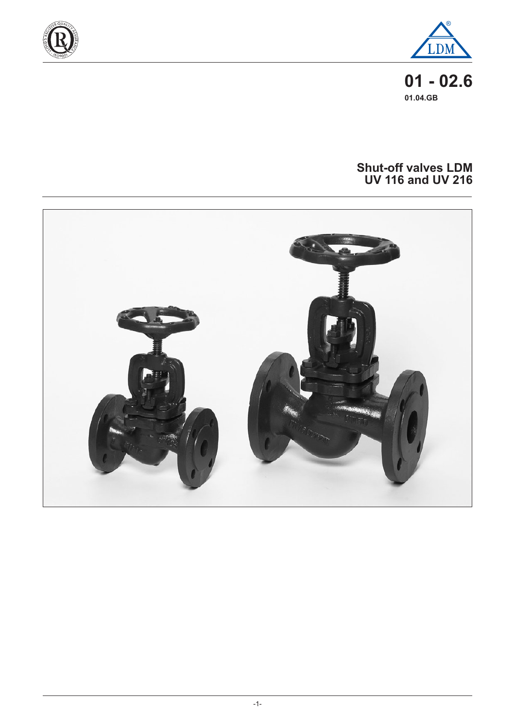



**01 - 02.6 01.04.GB**

### **Shut-off valves LDM UV 116 and UV 216**

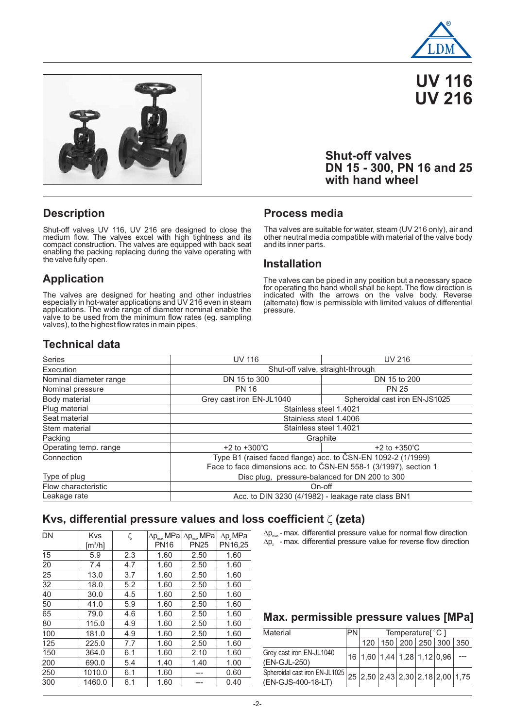

**UV 116 UV 216**



## **Shut-off valves DN 15 - 300, PN 16 and 25 with hand wheel**

### **Description**

Shut-off valves UV 116, UV 216 are designed to close the medium flow. The valves excel with high tightness and its compact construction. The valves are equipped with back seat enabling the packing replacing during the valve operating with the valve fully open.

## **Application**

The valves are designed for heating and other industries especially in hot-water applications and UV 216 even in steam applications. The wide range of diameter nominal enable the valve to be used from the minimum flow rates (eg. sampling valves), to the highest flow rates in main pipes.

#### **Process media**

Tha valves are suitable for water, steam (UV 216 only), air and other neutral media compatible with material of the valve body and its inner parts.

#### **Installation**

The valves can be piped in any position but a necessary space for operating the hand whell shall be kept. The flow direction is indicated with the arrows on the valve body. Reverse (alternate) flow is permissible with limited values of differential pressure.

## **Technical data**

| <b>Series</b>          | <b>UV 116</b>                                                    | <b>UV 216</b>                  |  |  |  |  |  |  |
|------------------------|------------------------------------------------------------------|--------------------------------|--|--|--|--|--|--|
| Execution              | Shut-off valve, straight-through                                 |                                |  |  |  |  |  |  |
| Nominal diameter range | DN 15 to 300                                                     | DN 15 to 200                   |  |  |  |  |  |  |
| Nominal pressure       | <b>PN 16</b>                                                     | <b>PN 25</b>                   |  |  |  |  |  |  |
| Body material          | Grey cast iron EN-JL1040                                         | Spheroidal cast iron EN-JS1025 |  |  |  |  |  |  |
| Plug material          | Stainless steel 1.4021                                           |                                |  |  |  |  |  |  |
| Seat material          | Stainless steel 1.4006                                           |                                |  |  |  |  |  |  |
| Stem material          | Stainless steel 1.4021                                           |                                |  |  |  |  |  |  |
| Packing                | Graphite                                                         |                                |  |  |  |  |  |  |
| Operating temp. range  | $+2$ to $+300^{\circ}$ C                                         | $+2$ to $+350^{\circ}$ C       |  |  |  |  |  |  |
| Connection             | Type B1 (raised faced flange) acc. to ČSN-EN 1092-2 (1/1999)     |                                |  |  |  |  |  |  |
|                        | Face to face dimensions acc. to ČSN-EN 558-1 (3/1997), section 1 |                                |  |  |  |  |  |  |
| Type of plug           | Disc plug, pressure-balanced for DN 200 to 300                   |                                |  |  |  |  |  |  |
| Flow characteristic    | On-off                                                           |                                |  |  |  |  |  |  |
| Leakage rate           | Acc. to DIN 3230 (4/1982) - leakage rate class BN1               |                                |  |  |  |  |  |  |

## **Kvs, differential pressure values and loss coefficient**  $\zeta$  **(zeta)**

| DN  | <b>Kvs</b>                   | ζ   | $\Delta p_{\text{max}}$ MPa | $\Delta p_{\text{max}}$ MPa | $\Delta p$ , MPa |  |  |
|-----|------------------------------|-----|-----------------------------|-----------------------------|------------------|--|--|
|     | $\left[\frac{m^3}{h}\right]$ |     | <b>PN16</b>                 | <b>PN25</b>                 | PN16,25          |  |  |
| 15  | 5.9                          | 2.3 | 1.60                        | 2.50                        | 1.60             |  |  |
| 20  | 7.4                          | 4.7 | 1.60                        | 2.50                        | 1.60             |  |  |
| 25  | 13.0                         | 3.7 | 1.60                        | 2.50                        | 1.60             |  |  |
| 32  | 18.0                         | 5.2 | 1.60                        | 2.50                        | 1.60             |  |  |
| 40  | 30.0                         | 4.5 | 1.60                        | 2.50                        | 1.60             |  |  |
| 50  | 41.0                         | 5.9 | 1.60                        | 2.50                        | 1.60             |  |  |
| 65  | 79.0                         | 4.6 | 1.60                        | 2.50                        | 1.60             |  |  |
| 80  | 115.0                        | 4.9 | 1.60                        | 2.50                        | 1.60             |  |  |
| 100 | 181.0                        | 4.9 | 1.60                        | 2.50                        | 1.60             |  |  |
| 125 | 225.0                        | 7.7 | 1.60                        | 2.50                        | 1.60             |  |  |
| 150 | 364.0                        | 6.1 | 1.60                        | 2.10                        | 1.60             |  |  |
| 200 | 690.0                        | 5.4 | 1.40                        | 1.40                        | 1.00             |  |  |
| 250 | 1010.0                       | 6.1 | 1.60                        |                             | 0.60             |  |  |
| 300 | 1460.0                       | 6.1 | 1.60                        |                             | 0.40             |  |  |

 $\Delta \mathsf{p}_{\scriptscriptstyle \sf max}$ -max. differential pressure value for normal flow direction  $\Delta p_z$  - max. differential pressure value for reverse flow direction

#### **Max. permissible pressure values [MPa]**

| Material                                                                              | Temperature[°C] |  |  |                             |  |
|---------------------------------------------------------------------------------------|-----------------|--|--|-----------------------------|--|
|                                                                                       | 120             |  |  | 150 200 250 300 350         |  |
| Grey cast iron EN-JL1040<br>(EN-GJL-250)                                              |                 |  |  | 16 1,60 1,44 1,28 1,12 0,96 |  |
| Spheroidal cast iron EN-JL1025 25 2,50 2,43 2,30 2,18 2,00 1,75<br>(EN-GJS-400-18-LT) |                 |  |  |                             |  |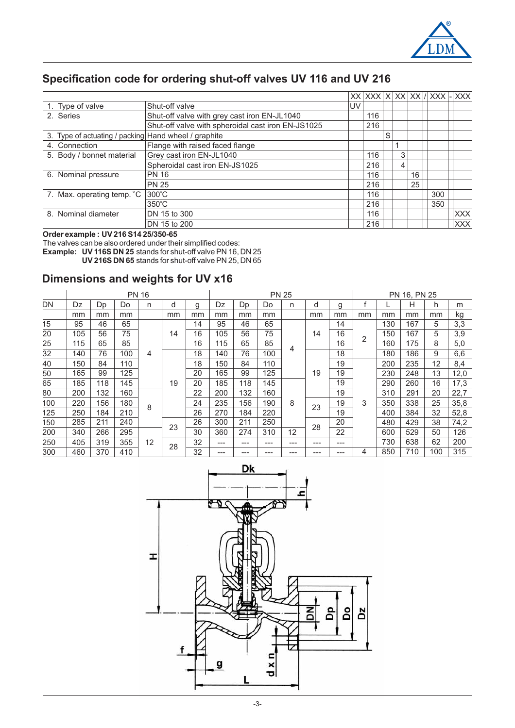

# **Specification code for ordering shut-off valves UV 116 and UV 216**

|                                                      |                                                    |    |     |   |   |    | $XX XXX X XX XX XX  XXX $   XXX |            |
|------------------------------------------------------|----------------------------------------------------|----|-----|---|---|----|---------------------------------|------------|
| 1. Type of valve                                     | Shut-off valve                                     | UV |     |   |   |    |                                 |            |
| 2. Series                                            | Shut-off valve with grey cast iron EN-JL1040       |    | 116 |   |   |    |                                 |            |
|                                                      | Shut-off valve with spheroidal cast iron EN-JS1025 |    | 216 |   |   |    |                                 |            |
| 3. Type of actuating / packing Hand wheel / graphite |                                                    |    |     | S |   |    |                                 |            |
| 4. Connection                                        | Flange with raised faced flange                    |    |     |   |   |    |                                 |            |
| 5. Body / bonnet material                            | Grey cast iron EN-JL1040                           |    | 116 |   | 3 |    |                                 |            |
|                                                      | Spheroidal cast iron EN-JS1025                     |    | 216 |   | 4 |    |                                 |            |
| 6. Nominal pressure                                  | <b>PN 16</b>                                       |    | 116 |   |   | 16 |                                 |            |
|                                                      | <b>PN 25</b>                                       |    | 216 |   |   | 25 |                                 |            |
| 7. Max. operating temp. °C                           | $300^{\circ}$ C                                    |    | 116 |   |   |    | 300                             |            |
|                                                      | $350^{\circ}$ C                                    |    | 216 |   |   |    | 350                             |            |
| 8. Nominal diameter                                  | DN 15 to 300                                       |    | 116 |   |   |    |                                 | XXX        |
|                                                      | DN 15 to 200                                       |    | 216 |   |   |    |                                 | <b>XXX</b> |

**Order example : UV 216 S14 25/350-65**

**Example: UV 116S DN 25 UV 216S DN 65** The valves can be also ordered under their simplified codes: stands for shut-off valve PN 16, DN 25 stands for shut-off valve PN 25, DN 65

## **Dimensions and weights for UV x16**

|     | <b>PN 16</b> |     |     |         |    |    |     | <b>PN 25</b> |     |     |       |     |     |     | PN 16, PN 25 |     |      |      |     |     |     |     |     |       |     |     |     |      |    |     |  |    |    |     |     |     |     |  |    |    |     |     |     |      |      |
|-----|--------------|-----|-----|---------|----|----|-----|--------------|-----|-----|-------|-----|-----|-----|--------------|-----|------|------|-----|-----|-----|-----|-----|-------|-----|-----|-----|------|----|-----|--|----|----|-----|-----|-----|-----|--|----|----|-----|-----|-----|------|------|
| DN  | Dz           | Dp  | Do  | n       | d  | g  | Dz  | Dp           | Do  | n   | d     | g   |     |     | Н            | h   | m    |      |     |     |     |     |     |       |     |     |     |      |    |     |  |    |    |     |     |     |     |  |    |    |     |     |     |      |      |
|     | mm           | mm  | mm  |         | mm | mm | mm  | mm           | mm  |     | mm    | mm  | mm  | mm  | mm           | mm  | kg   |      |     |     |     |     |     |       |     |     |     |      |    |     |  |    |    |     |     |     |     |  |    |    |     |     |     |      |      |
| 15  | 95           | 46  | 65  |         |    | 14 | 95  | 46           | 65  |     |       | 14  |     | 130 | 167          | 5   | 3,3  |      |     |     |     |     |     |       |     |     |     |      |    |     |  |    |    |     |     |     |     |  |    |    |     |     |     |      |      |
| 20  | 105          | 56  | 75  |         |    | 14 | 16  | 105          | 56  | 75  |       | 14  | 16  | 2   | 150          | 167 | 5    | 3,9  |     |     |     |     |     |       |     |     |     |      |    |     |  |    |    |     |     |     |     |  |    |    |     |     |     |      |      |
| 25  | 115          | 65  | 85  |         |    | 16 | 115 | 65           | 85  |     |       | 16  |     | 160 | 175          | 8   | 5,0  |      |     |     |     |     |     |       |     |     |     |      |    |     |  |    |    |     |     |     |     |  |    |    |     |     |     |      |      |
| 32  | 140          | 76  | 100 | 4       |    | 18 | 140 | 76           | 100 | 4   | 18    |     | 180 | 186 | 9            | 6,6 |      |      |     |     |     |     |     |       |     |     |     |      |    |     |  |    |    |     |     |     |     |  |    |    |     |     |     |      |      |
| 40  | 150          | 84  | 110 | 8<br>12 |    |    |     |              |     |     |       | 18  | 150 | 84  | 110          |     | 19   |      |     | 200 | 235 | 12  | 8,4 |       |     |     |     |      |    |     |  |    |    |     |     |     |     |  |    |    |     |     |     |      |      |
| 50  | 165          | 99  | 125 |         |    |    |     |              |     |     |       |     |     |     |              |     |      |      |     |     |     |     |     |       |     |     |     |      |    |     |  |    |    | 20  | 165 | 99  | 125 |  | 19 | 19 |     | 230 | 248 | 13   | 12,0 |
| 65  | 185          | 118 | 145 |         |    |    |     |              |     |     |       |     |     |     |              |     |      |      |     |     |     |     |     |       |     |     |     |      |    |     |  | 19 | 20 | 185 | 118 | 145 |     |  | 19 |    | 290 | 260 | 16  | 17,3 |      |
| 80  | 200          | 132 | 160 |         |    |    | 22  | 200          | 132 | 160 |       |     | 19  |     | 310          | 291 | 20   | 22,7 |     |     |     |     |     |       |     |     |     |      |    |     |  |    |    |     |     |     |     |  |    |    |     |     |     |      |      |
| 100 | 220          | 156 | 180 |         |    |    |     | 210          |     |     |       |     | 24  | 235 | 156          | 190 | 8    | 23   | 19  | 3   | 350 | 338 | 25  | 35,8  |     |     |     |      |    |     |  |    |    |     |     |     |     |  |    |    |     |     |     |      |      |
| 125 | 250          | 184 |     |         |    |    |     |              |     |     |       |     |     |     |              |     | 26   | 270  | 184 | 220 |     |     | 19  |       | 400 | 384 | 32  | 52,8 |    |     |  |    |    |     |     |     |     |  |    |    |     |     |     |      |      |
| 150 | 285          | 211 | 240 |         | 23 | 26 | 300 | 211          | 250 |     | 28    | 20  |     | 480 | 429          | 38  | 74,2 |      |     |     |     |     |     |       |     |     |     |      |    |     |  |    |    |     |     |     |     |  |    |    |     |     |     |      |      |
| 200 | 340          | 266 | 295 |         |    | 30 | 360 | 274          | 310 | 12  |       | 22  |     | 600 | 529          | 50  | 126  |      |     |     |     |     |     |       |     |     |     |      |    |     |  |    |    |     |     |     |     |  |    |    |     |     |     |      |      |
| 250 | 405          | 319 | 355 |         |    |    |     |              |     |     |       |     |     |     |              |     |      | 28   | 32  | --- | --- | --- | --- | $---$ | --- |     | 730 | 638  | 62 | 200 |  |    |    |     |     |     |     |  |    |    |     |     |     |      |      |
| 300 | 460          | 370 | 410 |         |    | 32 | --- | ---          | --- | --- | $---$ | --- | 4   | 850 | 710          | 100 | 315  |      |     |     |     |     |     |       |     |     |     |      |    |     |  |    |    |     |     |     |     |  |    |    |     |     |     |      |      |